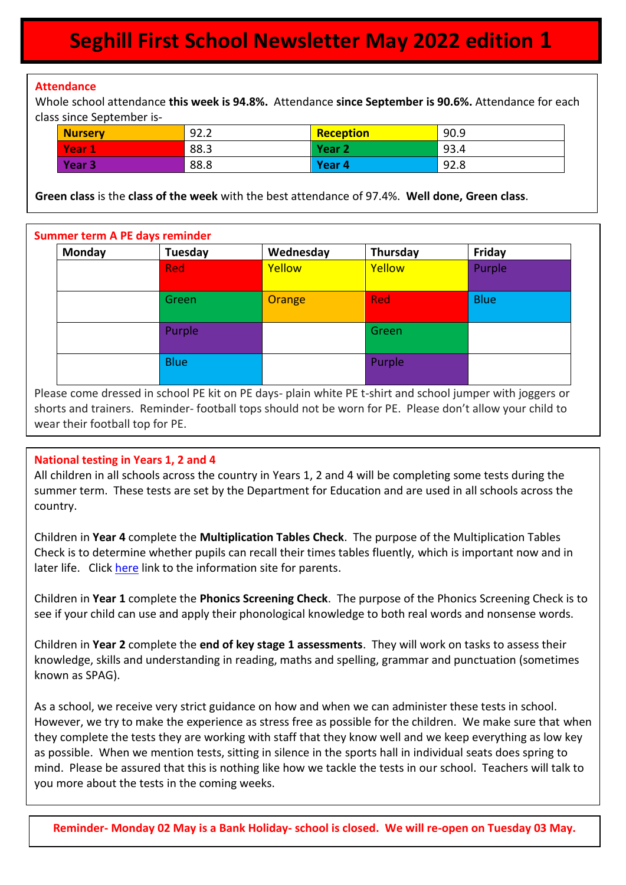# **Seghill First School Newsletter May 2022 edition 1**

### **Attendance**

 $\overline{\phantom{a}}$ 

Whole school attendance **this week is 94.8%.** Attendance **since September is 90.6%.** Attendance for each class since September is-

| <b>Nurserv</b> | 92.2 | Reception         | 90.9 |
|----------------|------|-------------------|------|
| <b>Vear</b>    | 88.3 | Year <sub>2</sub> | 93.4 |
| Year 3         | 88.8 | Year <sub>4</sub> | 92.8 |

**Green class** is the **class of the week** with the best attendance of 97.4%. **Well done, Green class**.

#### **Summer term A PE days reminder**

| Monday | Tuesday     | Wednesday | Thursday   | Friday      |
|--------|-------------|-----------|------------|-------------|
|        | <b>Red</b>  | Yellow    | Yellow     | Purple      |
|        |             |           |            |             |
|        | Green       | Orange    | <b>Red</b> | <b>Blue</b> |
|        |             |           |            |             |
|        | Purple      |           | Green      |             |
|        |             |           |            |             |
|        | <b>Blue</b> |           | Purple     |             |
|        |             |           |            |             |

Please come dressed in school PE kit on PE days- plain white PE t-shirt and school jumper with joggers or shorts and trainers. Reminder- football tops should not be worn for PE. Please don't allow your child to wear their football top for PE.

#### **National testing in Years 1, 2 and 4**

All children in all schools across the country in Years 1, 2 and 4 will be completing some tests during the summer term. These tests are set by the Department for Education and are used in all schools across the country.

Children in **Year 4** complete the **Multiplication Tables Check**. The purpose of the Multiplication Tables Check is to determine whether pupils can recall their times tables fluently, which is important now and in later life. Click [here](https://assets.publishing.service.gov.uk/government/uploads/system/uploads/attachment_data/file/1031901/2022_Information_for_parents_Multiplication_tables_check.pdf) link to the information site for parents.

Children in **Year 1** complete the **Phonics Screening Check**. The purpose of the Phonics Screening Check is to see if your child can use and apply their phonological knowledge to both real words and nonsense words.

Children in **Year 2** complete the **end of key stage 1 assessments**. They will work on tasks to assess their knowledge, skills and understanding in reading, maths and spelling, grammar and punctuation (sometimes known as SPAG).

As a school, we receive very strict guidance on how and when we can administer these tests in school. However, we try to make the experience as stress free as possible for the children. We make sure that when they complete the tests they are working with staff that they know well and we keep everything as low key as possible. When we mention tests, sitting in silence in the sports hall in individual seats does spring to mind. Please be assured that this is nothing like how we tackle the tests in our school. Teachers will talk to you more about the tests in the coming weeks.

**Reminder- Monday 02 May is a Bank Holiday- school is closed. We will re-open on Tuesday 03 May.**